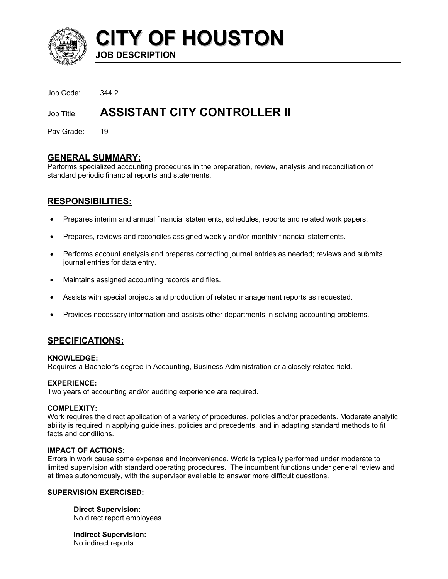

**CITY OF HOUSTON JOB DESCRIPTION** 

Job Code: 344.2

# Job Title: **ASSISTANT CITY CONTROLLER II**

Pay Grade: 19

### **GENERAL SUMMARY:**

Performs specialized accounting procedures in the preparation, review, analysis and reconciliation of standard periodic financial reports and statements.

# **RESPONSIBILITIES:**

- Prepares interim and annual financial statements, schedules, reports and related work papers.
- Prepares, reviews and reconciles assigned weekly and/or monthly financial statements.
- Performs account analysis and prepares correcting journal entries as needed; reviews and submits journal entries for data entry.
- Maintains assigned accounting records and files.
- Assists with special projects and production of related management reports as requested.
- Provides necessary information and assists other departments in solving accounting problems.

# **SPECIFICATIONS:**

### **KNOWLEDGE:**

Requires a Bachelor's degree in Accounting, Business Administration or a closely related field.

### **EXPERIENCE:**

Two years of accounting and/or auditing experience are required.

### **COMPLEXITY:**

Work requires the direct application of a variety of procedures, policies and/or precedents. Moderate analytic ability is required in applying guidelines, policies and precedents, and in adapting standard methods to fit facts and conditions.

### **IMPACT OF ACTIONS:**

Errors in work cause some expense and inconvenience. Work is typically performed under moderate to limited supervision with standard operating procedures. The incumbent functions under general review and at times autonomously, with the supervisor available to answer more difficult questions.

### **SUPERVISION EXERCISED:**

**Direct Supervision:** No direct report employees.

**Indirect Supervision:** No indirect reports.